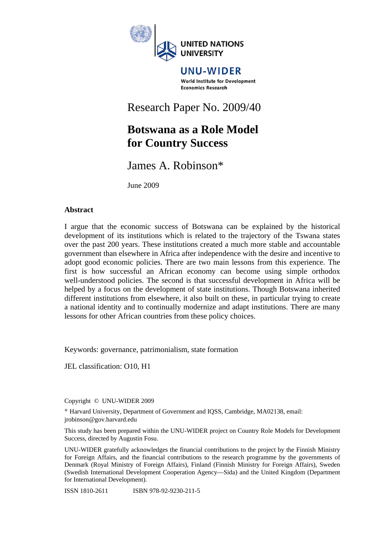

#### UNU-WIDER World Institute for Development **Economics Research**

# Research Paper No. 2009/40

## **Botswana as a Role Model for Country Success**

## James A. Robinson\*

June 2009

## **Abstract**

I argue that the economic success of Botswana can be explained by the historical development of its institutions which is related to the trajectory of the Tswana states over the past 200 years. These institutions created a much more stable and accountable government than elsewhere in Africa after independence with the desire and incentive to adopt good economic policies. There are two main lessons from this experience. The first is how successful an African economy can become using simple orthodox well-understood policies. The second is that successful development in Africa will be helped by a focus on the development of state institutions. Though Botswana inherited different institutions from elsewhere, it also built on these, in particular trying to create a national identity and to continually modernize and adapt institutions. There are many lessons for other African countries from these policy choices.

Keywords: governance, patrimonialism, state formation

JEL classification: O10, H1

Copyright © UNU-WIDER 2009

\* Harvard University, Department of Government and IQSS, Cambridge, MA02138, email: jrobinson@gov.harvard.edu

This study has been prepared within the UNU-WIDER project on Country Role Models for Development Success, directed by Augustin Fosu.

UNU-WIDER gratefully acknowledges the financial contributions to the project by the Finnish Ministry for Foreign Affairs, and the financial contributions to the research programme by the governments of Denmark (Royal Ministry of Foreign Affairs), Finland (Finnish Ministry for Foreign Affairs), Sweden (Swedish International Development Cooperation Agency—Sida) and the United Kingdom (Department for International Development).

ISSN 1810-2611 ISBN 978-92-9230-211-5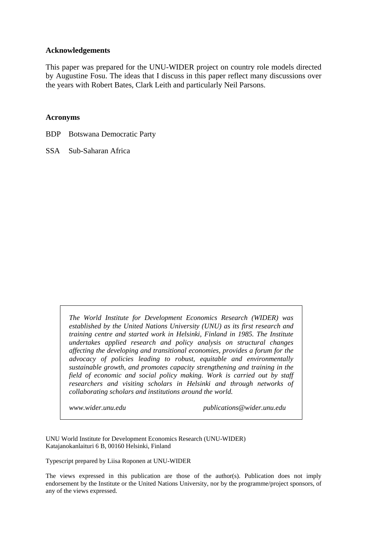#### **Acknowledgements**

This paper was prepared for the UNU-WIDER project on country role models directed by Augustine Fosu. The ideas that I discuss in this paper reflect many discussions over the years with Robert Bates, Clark Leith and particularly Neil Parsons.

#### **Acronyms**

BDP Botswana Democratic Party

SSA Sub-Saharan Africa

*The World Institute for Development Economics Research (WIDER) was established by the United Nations University (UNU) as its first research and training centre and started work in Helsinki, Finland in 1985. The Institute undertakes applied research and policy analysis on structural changes affecting the developing and transitional economies, provides a forum for the advocacy of policies leading to robust, equitable and environmentally sustainable growth, and promotes capacity strengthening and training in the field of economic and social policy making. Work is carried out by staff researchers and visiting scholars in Helsinki and through networks of collaborating scholars and institutions around the world.* 

*www.wider.unu.edu publications@wider.unu.edu* 

UNU World Institute for Development Economics Research (UNU-WIDER) Katajanokanlaituri 6 B, 00160 Helsinki, Finland

Typescript prepared by Liisa Roponen at UNU-WIDER

The views expressed in this publication are those of the author(s). Publication does not imply endorsement by the Institute or the United Nations University, nor by the programme/project sponsors, of any of the views expressed.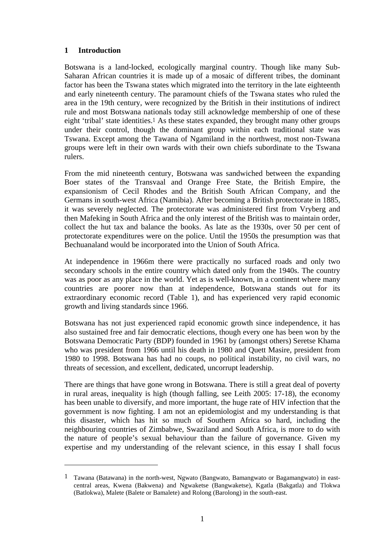### **1 Introduction**

1

Botswana is a land-locked, ecologically marginal country. Though like many Sub-Saharan African countries it is made up of a mosaic of different tribes, the dominant factor has been the Tswana states which migrated into the territory in the late eighteenth and early nineteenth century. The paramount chiefs of the Tswana states who ruled the area in the 19th century, were recognized by the British in their institutions of indirect rule and most Botswana nationals today still acknowledge membership of one of these eight 'tribal' state identities.1 As these states expanded, they brought many other groups under their control, though the dominant group within each traditional state was Tswana. Except among the Tawana of Ngamiland in the northwest, most non-Tswana groups were left in their own wards with their own chiefs subordinate to the Tswana rulers.

From the mid nineteenth century, Botswana was sandwiched between the expanding Boer states of the Transvaal and Orange Free State, the British Empire, the expansionism of Cecil Rhodes and the British South African Company, and the Germans in south-west Africa (Namibia). After becoming a British protectorate in 1885, it was severely neglected. The protectorate was administered first from Vryberg and then Mafeking in South Africa and the only interest of the British was to maintain order, collect the hut tax and balance the books. As late as the 1930s, over 50 per cent of protectorate expenditures were on the police. Until the 1950s the presumption was that Bechuanaland would be incorporated into the Union of South Africa.

At independence in 1966m there were practically no surfaced roads and only two secondary schools in the entire country which dated only from the 1940s. The country was as poor as any place in the world. Yet as is well-known, in a continent where many countries are poorer now than at independence, Botswana stands out for its extraordinary economic record (Table 1), and has experienced very rapid economic growth and living standards since 1966.

Botswana has not just experienced rapid economic growth since independence, it has also sustained free and fair democratic elections, though every one has been won by the Botswana Democratic Party (BDP) founded in 1961 by (amongst others) Seretse Khama who was president from 1966 until his death in 1980 and Quett Masire, president from 1980 to 1998. Botswana has had no coups, no political instability, no civil wars, no threats of secession, and excellent, dedicated, uncorrupt leadership.

There are things that have gone wrong in Botswana. There is still a great deal of poverty in rural areas, inequality is high (though falling, see Leith 2005: 17-18), the economy has been unable to diversify, and more important, the huge rate of HIV infection that the government is now fighting. I am not an epidemiologist and my understanding is that this disaster, which has hit so much of Southern Africa so hard, including the neighbouring countries of Zimbabwe, Swaziland and South Africa, is more to do with the nature of people's sexual behaviour than the failure of governance. Given my expertise and my understanding of the relevant science, in this essay I shall focus

<sup>1</sup> Tawana (Batawana) in the north-west, Ngwato (Bangwato, Bamangwato or Bagamangwato) in eastcentral areas, Kwena (Bakwena) and Ngwaketse (Bangwaketse), Kgatla (Bakgatla) and Tlokwa (Batlokwa), Malete (Balete or Bamalete) and Rolong (Barolong) in the south-east.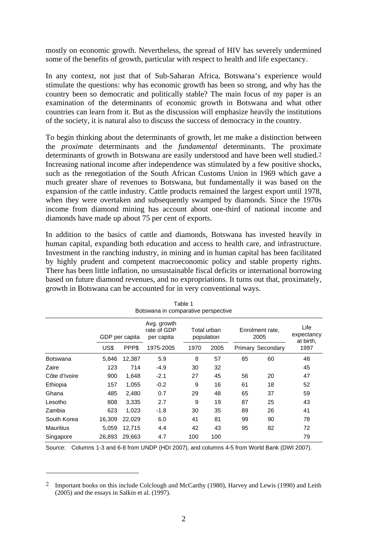mostly on economic growth. Nevertheless, the spread of HIV has severely undermined some of the benefits of growth, particular with respect to health and life expectancy.

In any context, not just that of Sub-Saharan Africa, Botswana's experience would stimulate the questions: why has economic growth has been so strong, and why has the country been so democratic and politically stable? The main focus of my paper is an examination of the determinants of economic growth in Botswana and what other countries can learn from it. But as the discussion will emphasize heavily the institutions of the society, it is natural also to discuss the success of democracy in the country.

To begin thinking about the determinants of growth, let me make a distinction between the *proximate* determinants and the *fundamental* determinants. The proximate determinants of growth in Botswana are easily understood and have been well studied.2 Increasing national income after independence was stimulated by a few positive shocks, such as the renegotiation of the South African Customs Union in 1969 which gave a much greater share of revenues to Botswana, but fundamentally it was based on the expansion of the cattle industry. Cattle products remained the largest export until 1978, when they were overtaken and subsequently swamped by diamonds. Since the 1970s income from diamond mining has account about one-third of national income and diamonds have made up about 75 per cent of exports.

In addition to the basics of cattle and diamonds, Botswana has invested heavily in human capital, expanding both education and access to health care, and infrastructure. Investment in the ranching industry, in mining and in human capital has been facilitated by highly prudent and competent macroeconomic policy and stable property rights. There has been little inflation, no unsustainable fiscal deficits or international borrowing based on future diamond revenues, and no expropriations. It turns out that, proximately, growth in Botswana can be accounted for in very conventional ways.

| rapie i<br>Botswana in comparative perspective |                |        |                                          |                           |      |                         |                          |                                 |
|------------------------------------------------|----------------|--------|------------------------------------------|---------------------------|------|-------------------------|--------------------------|---------------------------------|
|                                                | GDP per capita |        | Avg. growth<br>rate of GDP<br>per capita | Total urban<br>population |      | Enrolment rate,<br>2005 |                          | Life<br>expectancy<br>at birth. |
|                                                | US\$           | PPP\$  | 1975-2005                                | 1970                      | 2005 |                         | <b>Primary Secondary</b> | 1997                            |
| <b>Botswana</b>                                | 5,846          | 12,387 | 5.9                                      | 8                         | 57   | 85                      | 60                       | 48                              |
| Zaire                                          | 123            | 714    | $-4.9$                                   | 30                        | 32   |                         |                          | 45                              |
| Côte d'Ivoire                                  | 900            | 1,648  | $-2.1$                                   | 27                        | 45   | 56                      | 20                       | 47                              |
| Ethiopia                                       | 157            | 1,055  | $-0.2$                                   | 9                         | 16   | 61                      | 18                       | 52                              |
| Ghana                                          | 485            | 2,480  | 0.7                                      | 29                        | 48   | 65                      | 37                       | 59                              |
| Lesotho                                        | 808            | 3,335  | 2.7                                      | 9                         | 19   | 87                      | 25                       | 43                              |
| Zambia                                         | 623            | 1,023  | $-1.8$                                   | 30                        | 35   | 89                      | 26                       | 41                              |
| South Korea                                    | 16,309         | 22,029 | 6.0                                      | 41                        | 81   | 99                      | 90                       | 78                              |
| <b>Mauritius</b>                               | 5,059          | 12,715 | 4.4                                      | 42                        | 43   | 95                      | 82                       | 72                              |
| Singapore                                      | 26,893         | 29,663 | 4.7                                      | 100                       | 100  |                         |                          | 79                              |

| Table 1                             |  |
|-------------------------------------|--|
| Botswana in comparative perspective |  |

Source: Columns 1-3 and 6-8 from UNDP (HDI 2007), and columns 4-5 from World Bank (DWI 2007).

 $\overline{a}$ 

<sup>2</sup> Important books on this include Colclough and McCarthy (1980), Harvey and Lewis (1990) and Leith (2005) and the essays in Salkin et al. (1997).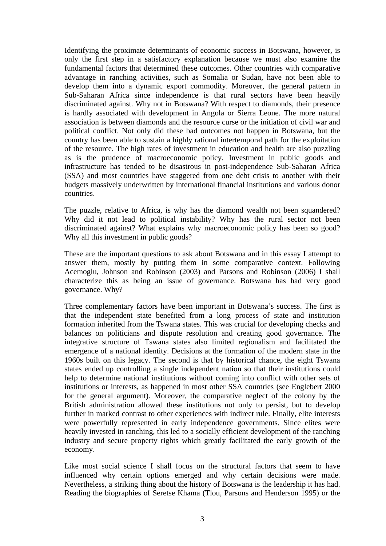Identifying the proximate determinants of economic success in Botswana, however, is only the first step in a satisfactory explanation because we must also examine the fundamental factors that determined these outcomes. Other countries with comparative advantage in ranching activities, such as Somalia or Sudan, have not been able to develop them into a dynamic export commodity. Moreover, the general pattern in Sub-Saharan Africa since independence is that rural sectors have been heavily discriminated against. Why not in Botswana? With respect to diamonds, their presence is hardly associated with development in Angola or Sierra Leone. The more natural association is between diamonds and the resource curse or the initiation of civil war and political conflict. Not only did these bad outcomes not happen in Botswana, but the country has been able to sustain a highly rational intertemporal path for the exploitation of the resource. The high rates of investment in education and health are also puzzling as is the prudence of macroeconomic policy. Investment in public goods and infrastructure has tended to be disastrous in post-independence Sub-Saharan Africa (SSA) and most countries have staggered from one debt crisis to another with their budgets massively underwritten by international financial institutions and various donor countries.

The puzzle, relative to Africa, is why has the diamond wealth not been squandered? Why did it not lead to political instability? Why has the rural sector not been discriminated against? What explains why macroeconomic policy has been so good? Why all this investment in public goods?

These are the important questions to ask about Botswana and in this essay I attempt to answer them, mostly by putting them in some comparative context. Following Acemoglu, Johnson and Robinson (2003) and Parsons and Robinson (2006) I shall characterize this as being an issue of governance. Botswana has had very good governance. Why?

Three complementary factors have been important in Botswana's success. The first is that the independent state benefited from a long process of state and institution formation inherited from the Tswana states. This was crucial for developing checks and balances on politicians and dispute resolution and creating good governance. The integrative structure of Tswana states also limited regionalism and facilitated the emergence of a national identity. Decisions at the formation of the modern state in the 1960s built on this legacy. The second is that by historical chance, the eight Tswana states ended up controlling a single independent nation so that their institutions could help to determine national institutions without coming into conflict with other sets of institutions or interests, as happened in most other SSA countries (see Englebert 2000 for the general argument). Moreover, the comparative neglect of the colony by the British administration allowed these institutions not only to persist, but to develop further in marked contrast to other experiences with indirect rule. Finally, elite interests were powerfully represented in early independence governments. Since elites were heavily invested in ranching, this led to a socially efficient development of the ranching industry and secure property rights which greatly facilitated the early growth of the economy.

Like most social science I shall focus on the structural factors that seem to have influenced why certain options emerged and why certain decisions were made. Nevertheless, a striking thing about the history of Botswana is the leadership it has had. Reading the biographies of Seretse Khama (Tlou, Parsons and Henderson 1995) or the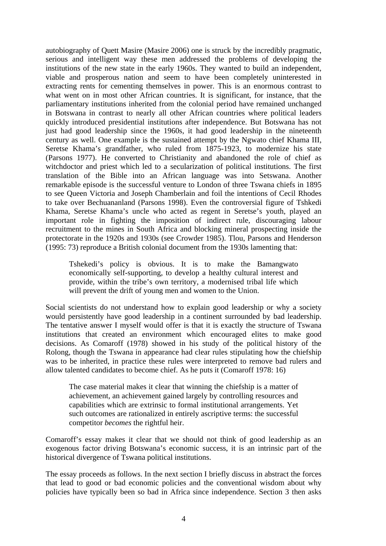autobiography of Quett Masire (Masire 2006) one is struck by the incredibly pragmatic, serious and intelligent way these men addressed the problems of developing the institutions of the new state in the early 1960s. They wanted to build an independent, viable and prosperous nation and seem to have been completely uninterested in extracting rents for cementing themselves in power. This is an enormous contrast to what went on in most other African countries. It is significant, for instance, that the parliamentary institutions inherited from the colonial period have remained unchanged in Botswana in contrast to nearly all other African countries where political leaders quickly introduced presidential institutions after independence. But Botswana has not just had good leadership since the 1960s, it had good leadership in the nineteenth century as well. One example is the sustained attempt by the Ngwato chief Khama III, Seretse Khama's grandfather, who ruled from 1875-1923, to modernize his state (Parsons 1977). He converted to Christianity and abandoned the role of chief as witchdoctor and priest which led to a secularization of political institutions. The first translation of the Bible into an African language was into Setswana. Another remarkable episode is the successful venture to London of three Tswana chiefs in 1895 to see Queen Victoria and Joseph Chamberlain and foil the intentions of Cecil Rhodes to take over Bechuananland (Parsons 1998). Even the controversial figure of Tshkedi Khama, Seretse Khama's uncle who acted as regent in Seretse's youth, played an important role in fighting the imposition of indirect rule, discouraging labour recruitment to the mines in South Africa and blocking mineral prospecting inside the protectorate in the 1920s and 1930s (see Crowder 1985). Tlou, Parsons and Henderson (1995: 73) reproduce a British colonial document from the 1930s lamenting that:

Tshekedi's policy is obvious. It is to make the Bamangwato economically self-supporting, to develop a healthy cultural interest and provide, within the tribe's own territory, a modernised tribal life which will prevent the drift of young men and women to the Union.

Social scientists do not understand how to explain good leadership or why a society would persistently have good leadership in a continent surrounded by bad leadership. The tentative answer I myself would offer is that it is exactly the structure of Tswana institutions that created an environment which encouraged elites to make good decisions. As Comaroff (1978) showed in his study of the political history of the Rolong, though the Tswana in appearance had clear rules stipulating how the chiefship was to be inherited, in practice these rules were interpreted to remove bad rulers and allow talented candidates to become chief. As he puts it (Comaroff 1978: 16)

The case material makes it clear that winning the chiefship is a matter of achievement, an achievement gained largely by controlling resources and capabilities which are extrinsic to formal institutional arrangements. Yet such outcomes are rationalized in entirely ascriptive terms: the successful competitor *becomes* the rightful heir.

Comaroff's essay makes it clear that we should not think of good leadership as an exogenous factor driving Botswana's economic success, it is an intrinsic part of the historical divergence of Tswana political institutions.

The essay proceeds as follows. In the next section I briefly discuss in abstract the forces that lead to good or bad economic policies and the conventional wisdom about why policies have typically been so bad in Africa since independence. Section 3 then asks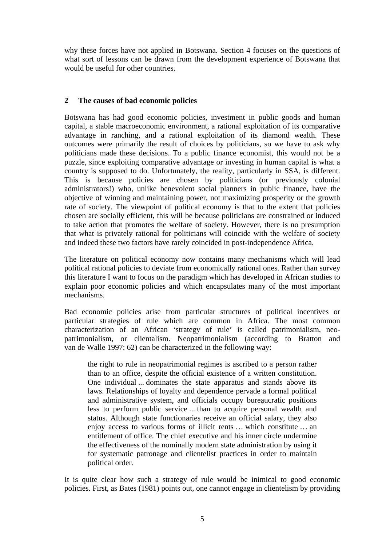why these forces have not applied in Botswana. Section 4 focuses on the questions of what sort of lessons can be drawn from the development experience of Botswana that would be useful for other countries.

### **2 The causes of bad economic policies**

Botswana has had good economic policies, investment in public goods and human capital, a stable macroeconomic environment, a rational exploitation of its comparative advantage in ranching, and a rational exploitation of its diamond wealth. These outcomes were primarily the result of choices by politicians, so we have to ask why politicians made these decisions. To a public finance economist, this would not be a puzzle, since exploiting comparative advantage or investing in human capital is what a country is supposed to do. Unfortunately, the reality, particularly in SSA, is different. This is because policies are chosen by politicians (or previously colonial administrators!) who, unlike benevolent social planners in public finance, have the objective of winning and maintaining power, not maximizing prosperity or the growth rate of society. The viewpoint of political economy is that to the extent that policies chosen are socially efficient, this will be because politicians are constrained or induced to take action that promotes the welfare of society. However, there is no presumption that what is privately rational for politicians will coincide with the welfare of society and indeed these two factors have rarely coincided in post-independence Africa.

The literature on political economy now contains many mechanisms which will lead political rational policies to deviate from economically rational ones. Rather than survey this literature I want to focus on the paradigm which has developed in African studies to explain poor economic policies and which encapsulates many of the most important mechanisms.

Bad economic policies arise from particular structures of political incentives or particular strategies of rule which are common in Africa. The most common characterization of an African 'strategy of rule' is called patrimonialism, neopatrimonialism, or clientalism. Neopatrimonialism (according to Bratton and van de Walle 1997: 62) can be characterized in the following way:

the right to rule in neopatrimonial regimes is ascribed to a person rather than to an office, despite the official existence of a written constitution. One individual ... dominates the state apparatus and stands above its laws. Relationships of loyalty and dependence pervade a formal political and administrative system, and officials occupy bureaucratic positions less to perform public service ... than to acquire personal wealth and status. Although state functionaries receive an official salary, they also enjoy access to various forms of illicit rents … which constitute … an entitlement of office. The chief executive and his inner circle undermine the effectiveness of the nominally modern state administration by using it for systematic patronage and clientelist practices in order to maintain political order.

It is quite clear how such a strategy of rule would be inimical to good economic policies. First, as Bates (1981) points out, one cannot engage in clientelism by providing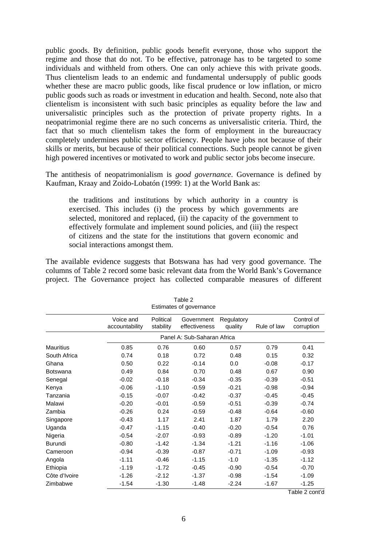public goods. By definition, public goods benefit everyone, those who support the regime and those that do not. To be effective, patronage has to be targeted to some individuals and withheld from others. One can only achieve this with private goods. Thus clientelism leads to an endemic and fundamental undersupply of public goods whether these are macro public goods, like fiscal prudence or low inflation, or micro public goods such as roads or investment in education and health. Second, note also that clientelism is inconsistent with such basic principles as equality before the law and universalistic principles such as the protection of private property rights. In a neopatrimonial regime there are no such concerns as universalistic criteria. Third, the fact that so much clientelism takes the form of employment in the bureaucracy completely undermines public sector efficiency. People have jobs not because of their skills or merits, but because of their political connections. Such people cannot be given high powered incentives or motivated to work and public sector jobs become insecure.

The antithesis of neopatrimonialism is *good governance*. Governance is defined by Kaufman, Kraay and Zoido-Lobatón (1999: 1) at the World Bank as:

the traditions and institutions by which authority in a country is exercised. This includes (i) the process by which governments are selected, monitored and replaced, (ii) the capacity of the government to effectively formulate and implement sound policies, and (iii) the respect of citizens and the state for the institutions that govern economic and social interactions amongst them.

The available evidence suggests that Botswana has had very good governance. The columns of Table 2 record some basic relevant data from the World Bank's Governance project. The Governance project has collected comparable measures of different

| Lournatoo or govornanoo |                             |                        |                             |                       |             |                          |  |  |
|-------------------------|-----------------------------|------------------------|-----------------------------|-----------------------|-------------|--------------------------|--|--|
|                         | Voice and<br>accountability | Political<br>stability | Government<br>effectiveness | Regulatory<br>quality | Rule of law | Control of<br>corruption |  |  |
|                         | Panel A: Sub-Saharan Africa |                        |                             |                       |             |                          |  |  |
| <b>Mauritius</b>        | 0.85                        | 0.76                   | 0.60                        | 0.57                  | 0.79        | 0.41                     |  |  |
| South Africa            | 0.74                        | 0.18                   | 0.72                        | 0.48                  | 0.15        | 0.32                     |  |  |
| Ghana                   | 0.50                        | 0.22                   | $-0.14$                     | 0.0                   | $-0.08$     | $-0.17$                  |  |  |
| <b>Botswana</b>         | 0.49                        | 0.84                   | 0.70                        | 0.48                  | 0.67        | 0.90                     |  |  |
| Senegal                 | $-0.02$                     | $-0.18$                | $-0.34$                     | $-0.35$               | $-0.39$     | $-0.51$                  |  |  |
| Kenya                   | $-0.06$                     | $-1.10$                | $-0.59$                     | $-0.21$               | $-0.98$     | $-0.94$                  |  |  |
| Tanzania                | $-0.15$                     | $-0.07$                | $-0.42$                     | $-0.37$               | $-0.45$     | $-0.45$                  |  |  |
| Malawi                  | $-0.20$                     | $-0.01$                | $-0.59$                     | $-0.51$               | $-0.39$     | $-0.74$                  |  |  |
| Zambia                  | $-0.26$                     | 0.24                   | $-0.59$                     | $-0.48$               | $-0.64$     | $-0.60$                  |  |  |
| Singapore               | $-0.43$                     | 1.17                   | 2.41                        | 1.87                  | 1.79        | 2.20                     |  |  |
| Uganda                  | $-0.47$                     | $-1.15$                | $-0.40$                     | $-0.20$               | $-0.54$     | 0.76                     |  |  |
| Nigeria                 | $-0.54$                     | $-2.07$                | $-0.93$                     | $-0.89$               | $-1.20$     | $-1.01$                  |  |  |
| Burundi                 | $-0.80$                     | $-1.42$                | $-1.34$                     | $-1.21$               | $-1.16$     | $-1.06$                  |  |  |
| Cameroon                | $-0.94$                     | $-0.39$                | $-0.87$                     | $-0.71$               | $-1.09$     | $-0.93$                  |  |  |
| Angola                  | $-1.11$                     | $-0.46$                | $-1.15$                     | $-1.0$                | $-1.35$     | $-1.12$                  |  |  |
| Ethiopia                | $-1.19$                     | $-1.72$                | $-0.45$                     | $-0.90$               | $-0.54$     | $-0.70$                  |  |  |
| Côte d'Ivoire           | $-1.26$                     | $-2.12$                | $-1.37$                     | $-0.98$               | $-1.54$     | $-1.09$                  |  |  |
| Zimbabwe                | $-1.54$                     | $-1.30$                | $-1.48$                     | $-2.24$               | $-1.67$     | $-1.25$                  |  |  |

| Table 2                 |  |  |  |  |  |  |
|-------------------------|--|--|--|--|--|--|
| Estimates of governance |  |  |  |  |  |  |

Table 2 cont'd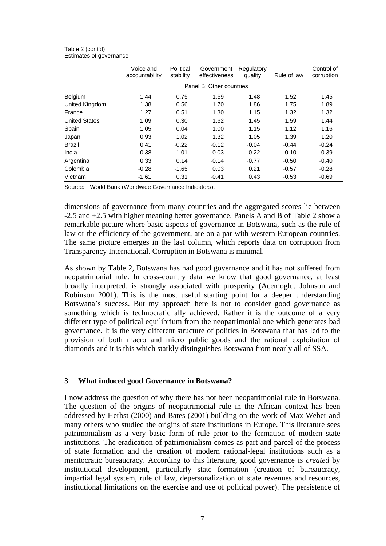|                      | Voice and<br>accountability | Political<br>stability | Government<br>effectiveness | Regulatory<br>quality | Rule of law | Control of<br>corruption |  |  |
|----------------------|-----------------------------|------------------------|-----------------------------|-----------------------|-------------|--------------------------|--|--|
|                      | Panel B: Other countries    |                        |                             |                       |             |                          |  |  |
| Belgium              | 1.44                        | 0.75                   | 1.59                        | 1.48                  | 1.52        | 1.45                     |  |  |
| United Kingdom       | 1.38                        | 0.56                   | 1.70                        | 1.86                  | 1.75        | 1.89                     |  |  |
| France               | 1.27                        | 0.51                   | 1.30                        | 1.15                  | 1.32        | 1.32                     |  |  |
| <b>United States</b> | 1.09                        | 0.30                   | 1.62                        | 1.45                  | 1.59        | 1.44                     |  |  |
| Spain                | 1.05                        | 0.04                   | 1.00                        | 1.15                  | 1.12        | 1.16                     |  |  |
| Japan                | 0.93                        | 1.02                   | 1.32                        | 1.05                  | 1.39        | 1.20                     |  |  |
| <b>Brazil</b>        | 0.41                        | $-0.22$                | $-0.12$                     | $-0.04$               | $-0.44$     | $-0.24$                  |  |  |
| India                | 0.38                        | $-1.01$                | 0.03                        | $-0.22$               | 0.10        | $-0.39$                  |  |  |
| Argentina            | 0.33                        | 0.14                   | $-0.14$                     | $-0.77$               | $-0.50$     | $-0.40$                  |  |  |
| Colombia             | $-0.28$                     | $-1.65$                | 0.03                        | 0.21                  | $-0.57$     | $-0.28$                  |  |  |
| Vietnam              | $-1.61$                     | 0.31                   | $-0.41$                     | 0.43                  | $-0.53$     | $-0.69$                  |  |  |

Table 2 (cont'd) Estimates of governance

Source: World Bank (Worldwide Governance Indicators).

dimensions of governance from many countries and the aggregated scores lie between -2.5 and +2.5 with higher meaning better governance. Panels A and B of Table 2 show a remarkable picture where basic aspects of governance in Botswana, such as the rule of law or the efficiency of the government, are on a par with western European countries. The same picture emerges in the last column, which reports data on corruption from Transparency International. Corruption in Botswana is minimal.

As shown by Table 2, Botswana has had good governance and it has not suffered from neopatrimonial rule. In cross-country data we know that good governance, at least broadly interpreted, is strongly associated with prosperity (Acemoglu, Johnson and Robinson 2001). This is the most useful starting point for a deeper understanding Botswana's success. But my approach here is not to consider good governance as something which is technocratic ally achieved. Rather it is the outcome of a very different type of political equilibrium from the neopatrimonial one which generates bad governance. It is the very different structure of politics in Botswana that has led to the provision of both macro and micro public goods and the rational exploitation of diamonds and it is this which starkly distinguishes Botswana from nearly all of SSA.

#### **3 What induced good Governance in Botswana?**

I now address the question of why there has not been neopatrimonial rule in Botswana. The question of the origins of neopatrimonial rule in the African context has been addressed by Herbst (2000) and Bates (2001) building on the work of Max Weber and many others who studied the origins of state institutions in Europe. This literature sees patrimonialism as a very basic form of rule prior to the formation of modern state institutions. The eradication of patrimonialism comes as part and parcel of the process of state formation and the creation of modern rational-legal institutions such as a meritocratic bureaucracy. According to this literature, good governance is *created* by institutional development, particularly state formation (creation of bureaucracy, impartial legal system, rule of law, depersonalization of state revenues and resources, institutional limitations on the exercise and use of political power). The persistence of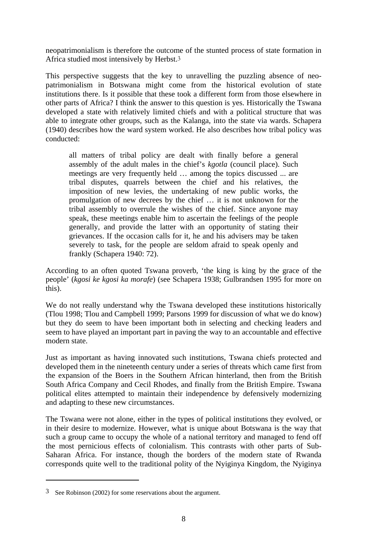neopatrimonialism is therefore the outcome of the stunted process of state formation in Africa studied most intensively by Herbst.3

This perspective suggests that the key to unravelling the puzzling absence of neopatrimonialism in Botswana might come from the historical evolution of state institutions there. Is it possible that these took a different form from those elsewhere in other parts of Africa? I think the answer to this question is yes. Historically the Tswana developed a state with relatively limited chiefs and with a political structure that was able to integrate other groups, such as the Kalanga, into the state via wards. Schapera (1940) describes how the ward system worked. He also describes how tribal policy was conducted:

all matters of tribal policy are dealt with finally before a general assembly of the adult males in the chief's *kgotla* (council place). Such meetings are very frequently held … among the topics discussed ... are tribal disputes, quarrels between the chief and his relatives, the imposition of new levies, the undertaking of new public works, the promulgation of new decrees by the chief … it is not unknown for the tribal assembly to overrule the wishes of the chief. Since anyone may speak, these meetings enable him to ascertain the feelings of the people generally, and provide the latter with an opportunity of stating their grievances. If the occasion calls for it, he and his advisers may be taken severely to task, for the people are seldom afraid to speak openly and frankly (Schapera 1940: 72).

According to an often quoted Tswana proverb, 'the king is king by the grace of the people' (*kgosi ke kgosi ka morafe*) (see Schapera 1938; Gulbrandsen 1995 for more on this).

We do not really understand why the Tswana developed these institutions historically (Tlou 1998; Tlou and Campbell 1999; Parsons 1999 for discussion of what we do know) but they do seem to have been important both in selecting and checking leaders and seem to have played an important part in paving the way to an accountable and effective modern state.

Just as important as having innovated such institutions, Tswana chiefs protected and developed them in the nineteenth century under a series of threats which came first from the expansion of the Boers in the Southern African hinterland, then from the British South Africa Company and Cecil Rhodes, and finally from the British Empire. Tswana political elites attempted to maintain their independence by defensively modernizing and adapting to these new circumstances.

The Tswana were not alone, either in the types of political institutions they evolved, or in their desire to modernize. However, what is unique about Botswana is the way that such a group came to occupy the whole of a national territory and managed to fend off the most pernicious effects of colonialism. This contrasts with other parts of Sub-Saharan Africa. For instance, though the borders of the modern state of Rwanda corresponds quite well to the traditional polity of the Nyiginya Kingdom, the Nyiginya

 $\overline{a}$ 

<sup>3</sup> See Robinson (2002) for some reservations about the argument.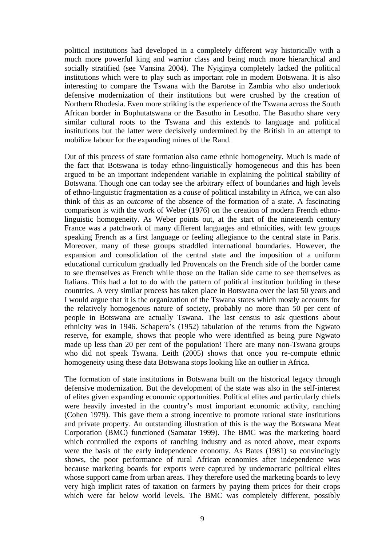political institutions had developed in a completely different way historically with a much more powerful king and warrior class and being much more hierarchical and socially stratified (see Vansina 2004). The Nyiginya completely lacked the political institutions which were to play such as important role in modern Botswana. It is also interesting to compare the Tswana with the Barotse in Zambia who also undertook defensive modernization of their institutions but were crushed by the creation of Northern Rhodesia. Even more striking is the experience of the Tswana across the South African border in Bophutatswana or the Basutho in Lesotho. The Basutho share very similar cultural roots to the Tswana and this extends to language and political institutions but the latter were decisively undermined by the British in an attempt to mobilize labour for the expanding mines of the Rand.

Out of this process of state formation also came ethnic homogeneity. Much is made of the fact that Botswana is today ethno-linguistically homogeneous and this has been argued to be an important independent variable in explaining the political stability of Botswana. Though one can today see the arbitrary effect of boundaries and high levels of ethno-linguistic fragmentation as a *cause* of political instability in Africa, we can also think of this as an *outcome* of the absence of the formation of a state. A fascinating comparison is with the work of Weber (1976) on the creation of modern French ethnolinguistic homogeneity. As Weber points out, at the start of the nineteenth century France was a patchwork of many different languages and ethnicities, with few groups speaking French as a first language or feeling allegiance to the central state in Paris. Moreover, many of these groups straddled international boundaries. However, the expansion and consolidation of the central state and the imposition of a uniform educational curriculum gradually led Provencals on the French side of the border came to see themselves as French while those on the Italian side came to see themselves as Italians. This had a lot to do with the pattern of political institution building in these countries. A very similar process has taken place in Botswana over the last 50 years and I would argue that it is the organization of the Tswana states which mostly accounts for the relatively homogenous nature of society, probably no more than 50 per cent of people in Botswana are actually Tswana. The last census to ask questions about ethnicity was in 1946. Schapera's (1952) tabulation of the returns from the Ngwato reserve, for example, shows that people who were identified as being pure Ngwato made up less than 20 per cent of the population! There are many non-Tswana groups who did not speak Tswana. Leith (2005) shows that once you re-compute ethnic homogeneity using these data Botswana stops looking like an outlier in Africa.

The formation of state institutions in Botswana built on the historical legacy through defensive modernization. But the development of the state was also in the self-interest of elites given expanding economic opportunities. Political elites and particularly chiefs were heavily invested in the country's most important economic activity, ranching (Cohen 1979). This gave them a strong incentive to promote rational state institutions and private property. An outstanding illustration of this is the way the Botswana Meat Corporation (BMC) functioned (Samatar 1999). The BMC was the marketing board which controlled the exports of ranching industry and as noted above, meat exports were the basis of the early independence economy. As Bates (1981) so convincingly shows, the poor performance of rural African economies after independence was because marketing boards for exports were captured by undemocratic political elites whose support came from urban areas. They therefore used the marketing boards to levy very high implicit rates of taxation on farmers by paying them prices for their crops which were far below world levels. The BMC was completely different, possibly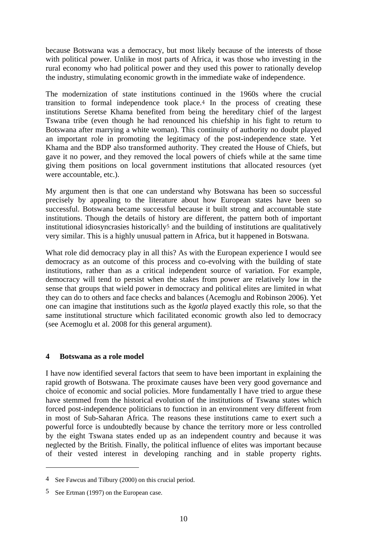because Botswana was a democracy, but most likely because of the interests of those with political power. Unlike in most parts of Africa, it was those who investing in the rural economy who had political power and they used this power to rationally develop the industry, stimulating economic growth in the immediate wake of independence.

The modernization of state institutions continued in the 1960s where the crucial transition to formal independence took place.4 In the process of creating these institutions Seretse Khama benefited from being the hereditary chief of the largest Tswana tribe (even though he had renounced his chiefship in his fight to return to Botswana after marrying a white woman). This continuity of authority no doubt played an important role in promoting the legitimacy of the post-independence state. Yet Khama and the BDP also transformed authority. They created the House of Chiefs, but gave it no power, and they removed the local powers of chiefs while at the same time giving them positions on local government institutions that allocated resources (yet were accountable, etc.).

My argument then is that one can understand why Botswana has been so successful precisely by appealing to the literature about how European states have been so successful. Botswana became successful because it built strong and accountable state institutions. Though the details of history are different, the pattern both of important institutional idiosyncrasies historically5 and the building of institutions are qualitatively very similar. This is a highly unusual pattern in Africa, but it happened in Botswana.

What role did democracy play in all this? As with the European experience I would see democracy as an outcome of this process and co-evolving with the building of state institutions, rather than as a critical independent source of variation. For example, democracy will tend to persist when the stakes from power are relatively low in the sense that groups that wield power in democracy and political elites are limited in what they can do to others and face checks and balances (Acemoglu and Robinson 2006). Yet one can imagine that institutions such as the *kgotla* played exactly this role, so that the same institutional structure which facilitated economic growth also led to democracy (see Acemoglu et al. 2008 for this general argument).

#### **4 Botswana as a role model**

I have now identified several factors that seem to have been important in explaining the rapid growth of Botswana. The proximate causes have been very good governance and choice of economic and social policies. More fundamentally I have tried to argue these have stemmed from the historical evolution of the institutions of Tswana states which forced post-independence politicians to function in an environment very different from in most of Sub-Saharan Africa. The reasons these institutions came to exert such a powerful force is undoubtedly because by chance the territory more or less controlled by the eight Tswana states ended up as an independent country and because it was neglected by the British. Finally, the political influence of elites was important because of their vested interest in developing ranching and in stable property rights.

 $\overline{a}$ 

<sup>4</sup> See Fawcus and Tilbury (2000) on this crucial period.

<sup>5</sup> See Ertman (1997) on the European case.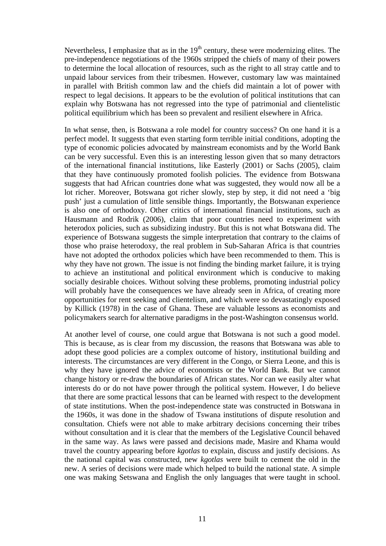Nevertheless, I emphasize that as in the  $19<sup>th</sup>$  century, these were modernizing elites. The pre-independence negotiations of the 1960s stripped the chiefs of many of their powers to determine the local allocation of resources, such as the right to all stray cattle and to unpaid labour services from their tribesmen. However, customary law was maintained in parallel with British common law and the chiefs did maintain a lot of power with respect to legal decisions. It appears to be the evolution of political institutions that can explain why Botswana has not regressed into the type of patrimonial and clientelistic political equilibrium which has been so prevalent and resilient elsewhere in Africa.

In what sense, then, is Botswana a role model for country success? On one hand it is a perfect model. It suggests that even starting form terrible initial conditions, adopting the type of economic policies advocated by mainstream economists and by the World Bank can be very successful. Even this is an interesting lesson given that so many detractors of the international financial institutions, like Easterly (2001) or Sachs (2005), claim that they have continuously promoted foolish policies. The evidence from Botswana suggests that had African countries done what was suggested, they would now all be a lot richer. Moreover, Botswana got richer slowly, step by step, it did not need a 'big push' just a cumulation of little sensible things. Importantly, the Botswanan experience is also one of orthodoxy. Other critics of international financial institutions, such as Hausmann and Rodrik (2006), claim that poor countries need to experiment with heterodox policies, such as subsidizing industry. But this is not what Botswana did. The experience of Botswana suggests the simple interpretation that contrary to the claims of those who praise heterodoxy, the real problem in Sub-Saharan Africa is that countries have not adopted the orthodox policies which have been recommended to them. This is why they have not grown. The issue is not finding the binding market failure, it is trying to achieve an institutional and political environment which is conducive to making socially desirable choices. Without solving these problems, promoting industrial policy will probably have the consequences we have already seen in Africa, of creating more opportunities for rent seeking and clientelism, and which were so devastatingly exposed by Killick (1978) in the case of Ghana. These are valuable lessons as economists and policymakers search for alternative paradigms in the post-Washington consensus world.

At another level of course, one could argue that Botswana is not such a good model. This is because, as is clear from my discussion, the reasons that Botswana was able to adopt these good policies are a complex outcome of history, institutional building and interests. The circumstances are very different in the Congo, or Sierra Leone, and this is why they have ignored the advice of economists or the World Bank. But we cannot change history or re-draw the boundaries of African states. Nor can we easily alter what interests do or do not have power through the political system. However, I do believe that there are some practical lessons that can be learned with respect to the development of state institutions. When the post-independence state was constructed in Botswana in the 1960s, it was done in the shadow of Tswana institutions of dispute resolution and consultation. Chiefs were not able to make arbitrary decisions concerning their tribes without consultation and it is clear that the members of the Legislative Council behaved in the same way. As laws were passed and decisions made, Masire and Khama would travel the country appearing before *kgotlas* to explain, discuss and justify decisions. As the national capital was constructed, new *kgotlas* were built to cement the old in the new. A series of decisions were made which helped to build the national state. A simple one was making Setswana and English the only languages that were taught in school.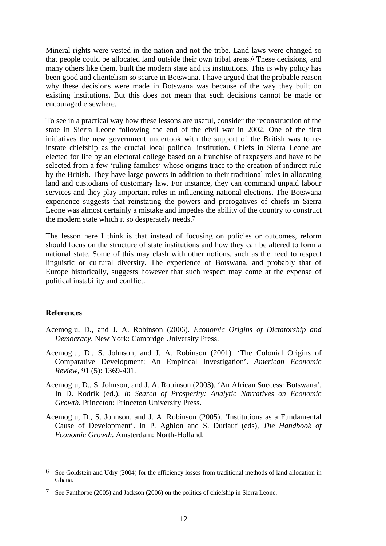Mineral rights were vested in the nation and not the tribe. Land laws were changed so that people could be allocated land outside their own tribal areas.6 These decisions, and many others like them, built the modern state and its institutions. This is why policy has been good and clientelism so scarce in Botswana. I have argued that the probable reason why these decisions were made in Botswana was because of the way they built on existing institutions. But this does not mean that such decisions cannot be made or encouraged elsewhere.

To see in a practical way how these lessons are useful, consider the reconstruction of the state in Sierra Leone following the end of the civil war in 2002. One of the first initiatives the new government undertook with the support of the British was to reinstate chiefship as the crucial local political institution. Chiefs in Sierra Leone are elected for life by an electoral college based on a franchise of taxpayers and have to be selected from a few 'ruling families' whose origins trace to the creation of indirect rule by the British. They have large powers in addition to their traditional roles in allocating land and custodians of customary law. For instance, they can command unpaid labour services and they play important roles in influencing national elections. The Botswana experience suggests that reinstating the powers and prerogatives of chiefs in Sierra Leone was almost certainly a mistake and impedes the ability of the country to construct the modern state which it so desperately needs.7

The lesson here I think is that instead of focusing on policies or outcomes, reform should focus on the structure of state institutions and how they can be altered to form a national state. Some of this may clash with other notions, such as the need to respect linguistic or cultural diversity. The experience of Botswana, and probably that of Europe historically, suggests however that such respect may come at the expense of political instability and conflict.

#### **References**

- Acemoglu, D., and J. A. Robinson (2006). *Economic Origins of Dictatorship and Democracy*. New York: Cambrdge University Press.
- Acemoglu, D., S. Johnson, and J. A. Robinson (2001). 'The Colonial Origins of Comparative Development: An Empirical Investigation'. *American Economic Review*, 91 (5): 1369-401.
- Acemoglu, D., S. Johnson, and J. A. Robinson (2003). 'An African Success: Botswana'. In D. Rodrik (ed.), *In Search of Prosperity: Analytic Narratives on Economic Growth*. Princeton: Princeton University Press.
- Acemoglu, D., S. Johnson, and J. A. Robinson (2005). 'Institutions as a Fundamental Cause of Development'. In P. Aghion and S. Durlauf (eds), *The Handbook of Economic Growth*. Amsterdam: North-Holland.

<sup>6</sup> See Goldstein and Udry (2004) for the efficiency losses from traditional methods of land allocation in Ghana.

<sup>7</sup> See Fanthorpe (2005) and Jackson (2006) on the politics of chiefship in Sierra Leone.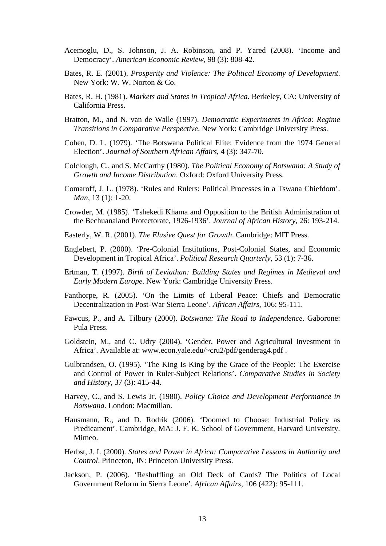- Acemoglu, D., S. Johnson, J. A. Robinson, and P. Yared (2008). 'Income and Democracy'. *American Economic Review*, 98 (3): 808-42.
- Bates, R. E. (2001). *Prosperity and Violence: The Political Economy of Development*. New York: W. W. Norton & Co.
- Bates, R. H. (1981). *Markets and States in Tropical Africa.* Berkeley, CA: University of California Press.
- Bratton, M., and N. van de Walle (1997). *Democratic Experiments in Africa: Regime Transitions in Comparative Perspective*. New York: Cambridge University Press.
- Cohen, D. L. (1979). 'The Botswana Political Elite: Evidence from the 1974 General Election'. *Journal of Southern African Affairs*, 4 (3): 347-70.
- Colclough, C., and S. McCarthy (1980). *The Political Economy of Botswana: A Study of Growth and Income Distribution*. Oxford: Oxford University Press.
- Comaroff, J. L. (1978). 'Rules and Rulers: Political Processes in a Tswana Chiefdom'. *Man*, 13 (1): 1-20.
- Crowder, M. (1985). 'Tshekedi Khama and Opposition to the British Administration of the Bechuanaland Protectorate, 1926-1936'. *Journal of African History*, 26: 193-214.
- Easterly, W. R. (2001). *The Elusive Quest for Growth*. Cambridge: MIT Press.
- Englebert, P. (2000). 'Pre-Colonial Institutions, Post-Colonial States, and Economic Development in Tropical Africa'. *Political Research Quarterly*, 53 (1): 7-36.
- Ertman, T. (1997). *Birth of Leviathan: Building States and Regimes in Medieval and Early Modern Europe*. New York: Cambridge University Press.
- Fanthorpe, R. (2005). 'On the Limits of Liberal Peace: Chiefs and Democratic Decentralization in Post-War Sierra Leone'. *African Affairs*, 106: 95-111.
- Fawcus, P., and A. Tilbury (2000). *Botswana: The Road to Independence*. Gaborone: Pula Press.
- Goldstein, M., and C. Udry (2004). 'Gender, Power and Agricultural Investment in Africa'. Available at: www.econ.yale.edu/~cru2/pdf/genderag4.pdf .
- Gulbrandsen, O. (1995). 'The King Is King by the Grace of the People: The Exercise and Control of Power in Ruler-Subject Relations'. *Comparative Studies in Society and History*, 37 (3): 415-44.
- Harvey, C., and S. Lewis Jr. (1980). *Policy Choice and Development Performance in Botswana*. London: Macmillan.
- Hausmann, R., and D. Rodrik (2006). 'Doomed to Choose: Industrial Policy as Predicament'. Cambridge, MA: J. F. K. School of Government, Harvard University. Mimeo.
- Herbst, J. I. (2000). *States and Power in Africa: Comparative Lessons in Authority and Control*. Princeton, JN: Princeton University Press.
- Jackson, P. (2006). 'Reshuffling an Old Deck of Cards? The Politics of Local Government Reform in Sierra Leone'. *African Affairs*, 106 (422): 95-111.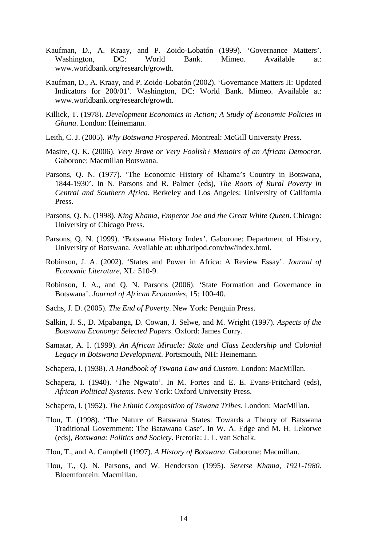- Kaufman, D., A. Kraay, and P. Zoido-Lobatón (1999). 'Governance Matters'. Washington, DC: World Bank. Mimeo. Available at: www.worldbank.org/research/growth.
- Kaufman, D., A. Kraay, and P. Zoido-Lobatón (2002). 'Governance Matters II: Updated Indicators for 200/01'. Washington, DC: World Bank. Mimeo. Available at: www.worldbank.org/research/growth.
- Killick, T. (1978). *Development Economics in Action; A Study of Economic Policies in Ghana*. London: Heinemann.
- Leith, C. J. (2005). *Why Botswana Prospered*. Montreal: McGill University Press.
- Masire, Q. K. (2006). *Very Brave or Very Foolish? Memoirs of an African Democrat.*  Gaborone: Macmillan Botswana.
- Parsons, Q. N. (1977). 'The Economic History of Khama's Country in Botswana, 1844-1930'. In N. Parsons and R. Palmer (eds), *The Roots of Rural Poverty in Central and Southern Africa*. Berkeley and Los Angeles: University of California Press.
- Parsons, Q. N. (1998). *King Khama, Emperor Joe and the Great White Queen*. Chicago: University of Chicago Press.
- Parsons, Q. N. (1999). 'Botswana History Index'. Gaborone: Department of History, University of Botswana. Available at: ubh.tripod.com/bw/index.html.
- Robinson, J. A. (2002). 'States and Power in Africa: A Review Essay'. *Journal of Economic Literature*, XL: 510-9.
- Robinson, J. A., and Q. N. Parsons (2006). 'State Formation and Governance in Botswana'. *Journal of African Economies*, 15: 100-40.
- Sachs, J. D. (2005). *The End of Poverty*. New York: Penguin Press.
- Salkin, J. S., D. Mpabanga, D. Cowan, J. Selwe, and M. Wright (1997). *Aspects of the Botswana Economy: Selected Papers*. Oxford: James Curry.
- Samatar, A. I. (1999). *An African Miracle: State and Class Leadership and Colonial Legacy in Botswana Development*. Portsmouth, NH: Heinemann.
- Schapera, I. (1938). *A Handbook of Tswana Law and Custom*. London: MacMillan.
- Schapera, I. (1940). 'The Ngwato'. In M. Fortes and E. E. Evans-Pritchard (eds), *African Political Systems*. New York: Oxford University Press.
- Schapera, I. (1952). *The Ethnic Composition of Tswana Tribes*. London: MacMillan.
- Tlou, T. (1998). 'The Nature of Batswana States: Towards a Theory of Batswana Traditional Government: The Batawana Case'. In W. A. Edge and M. H. Lekorwe (eds), *Botswana: Politics and Society*. Pretoria: J. L. van Schaik.
- Tlou, T., and A. Campbell (1997). *A History of Botswana*. Gaborone: Macmillan.
- Tlou, T., Q. N. Parsons, and W. Henderson (1995). *Seretse Khama, 1921-1980*. Bloemfontein: Macmillan.